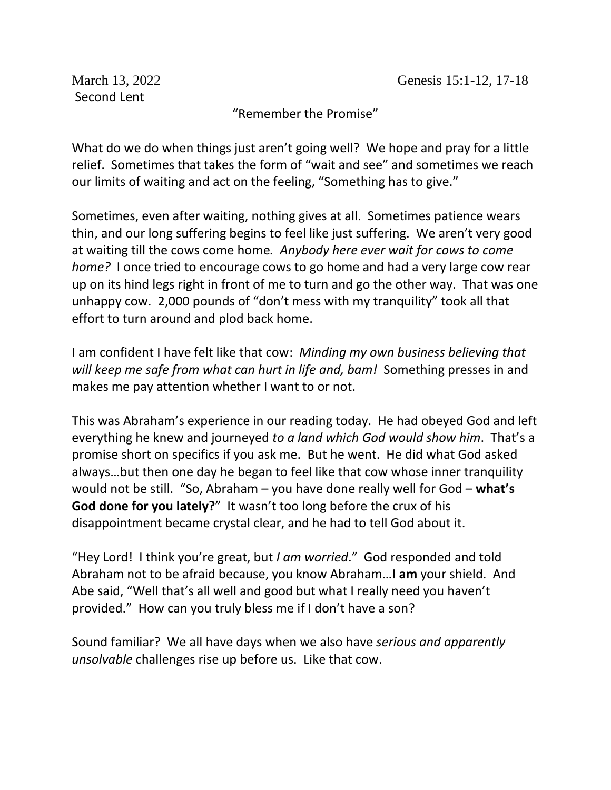Second Lent

"Remember the Promise"

What do we do when things just aren't going well? We hope and pray for a little relief. Sometimes that takes the form of "wait and see" and sometimes we reach our limits of waiting and act on the feeling, "Something has to give."

Sometimes, even after waiting, nothing gives at all. Sometimes patience wears thin, and our long suffering begins to feel like just suffering. We aren't very good at waiting till the cows come home*. Anybody here ever wait for cows to come home?* I once tried to encourage cows to go home and had a very large cow rear up on its hind legs right in front of me to turn and go the other way. That was one unhappy cow. 2,000 pounds of "don't mess with my tranquility" took all that effort to turn around and plod back home.

I am confident I have felt like that cow: *Minding my own business believing that will keep me safe from what can hurt in life and, bam!* Something presses in and makes me pay attention whether I want to or not.

This was Abraham's experience in our reading today. He had obeyed God and left everything he knew and journeyed *to a land which God would show him*. That's a promise short on specifics if you ask me. But he went. He did what God asked always…but then one day he began to feel like that cow whose inner tranquility would not be still. "So, Abraham – you have done really well for God – **what's God done for you lately?**" It wasn't too long before the crux of his disappointment became crystal clear, and he had to tell God about it.

"Hey Lord! I think you're great, but *I am worried*." God responded and told Abraham not to be afraid because, you know Abraham…**I am** your shield. And Abe said, "Well that's all well and good but what I really need you haven't provided." How can you truly bless me if I don't have a son?

Sound familiar? We all have days when we also have *serious and apparently unsolvable* challenges rise up before us. Like that cow.